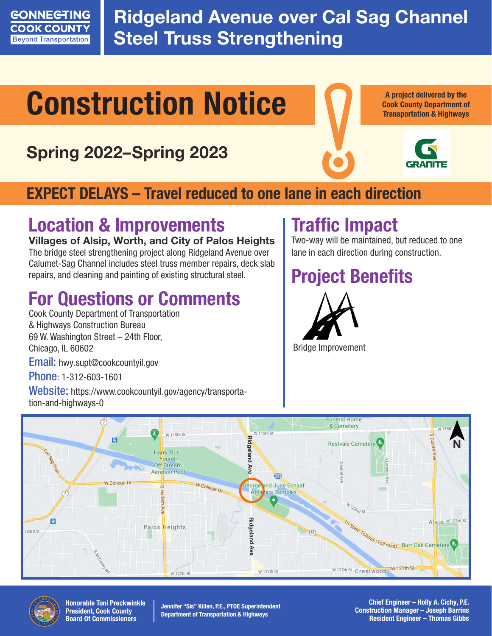

Ridgeland Avenue over Cal Sag Channel **Steel Truss Strengthening** 

# Construction Notice

## Spring 2022–Spring 2023



A project delivered by the Cook County Department of Transportation & Highways



### EXPECT DELAYS – Travel reduced to one lane in each direction

## Location & Improvements

#### Villages of Alsip, Worth, and City of Palos Height**s**

The bridge steel strengthening project along Ridgeland Avenue over Calumet-Sag Channel includes steel truss member repairs, deck slab repairs, and cleaning and painting of existing structural steel.

## For Questions or Comments

Cook County Department of Transportation & Highways Construction Bureau 69 W. Washington Street – 24th Floor, Chicago, IL 60602

Email: hwy.supt@cookcountyil.gov

Phone: 1-312-603-1601

Website: https://www.cookcountyil.gov/agency/transportation-and-highways-0

## Traffic Impact

Two-way will be maintained, but reduced to one lane in each direction during construction.

## Project Benefits







Honorable Toni Preckwinkle President, Cook County Board Of Commissioners

Jennifer "Sis" Killen, P.E., PTOE Superintendent Department of Transportation & Highways

Chief Engineer – Holly A. Cichy, P.E. Construction Manager – Joseph Barrins Resident Engineer – Thomas Gibbs